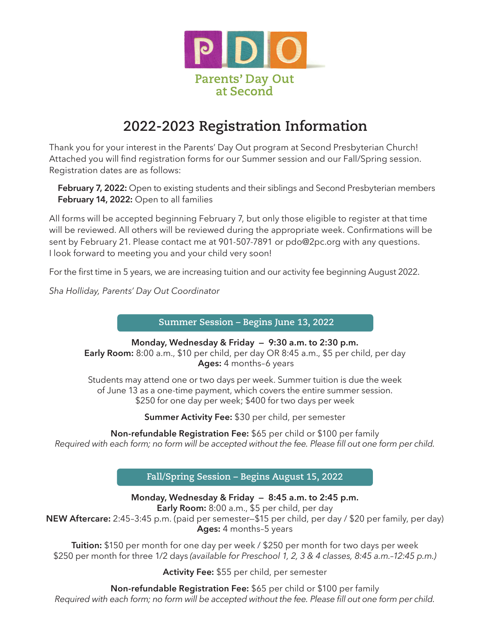

# **2022-2023 Registration Information**

Thank you for your interest in the Parents' Day Out program at Second Presbyterian Church! Attached you for your interest in the Parents' Day Out program at Second Presbyterian Church!<br>Attached you will find registration forms for our Summer session and our Fall/Spring session. Registration dates are as follows: rached you win that registration forms for our summer session and our Fail/Spring session.<br>Pebruary 7, 2022: Open to existing students and their siblings and Second Presbyterian members **Mark Contract Serves**<br>Day Out progra<br>or our Summer s

**February 14, 2022:** Open to all families

All forms will be accepted beginning February 7, but only those eligible to register at that time will be reviewed. All others will be reviewed during the appropriate week. Confirmations will be sent by February 21. Please contact me at 901-507-7891 or pdo@2pc.org with any questions. I look forward to meeting you and your child very soon!

For the first time in 5 years, we are increasing tuition and our activity fee beginning August 2022.

*Sha Holliday, Parents' Day Out Coordinator*

**Summer Session – Begins June 13, 2022**

**Monday, Wednesday & Friday — 9:30 a.m. to 2:30 p.m. Early Room:** 8:00 a.m., \$10 per child, per day OR 8:45 a.m., \$5 per child, per day  **Ages:** 4 months–6 years

Students may attend one or two days per week. Summer tuition is due the week of June 13 as a one-time payment, which covers the entire summer session. \$250 for one day per week; \$400 for two days per week

50 for one day per week; \$400 for two days per we<br>**Summer Activity Fee:** \$30 per child, per semester

**Sum Fee:** \$65 per child or \$100 per family<br>ccepted without the fee. Please fill out one form per child. **Non-refundable Registration Fee:** \$65 per child or \$100 per family *Required with each form; no form will be accepted without the fee. Please fill out one form per child.*

**Fall/Spring Session – Begins August 15, 2022**

**Monday, Wednesday & Friday — 8:45 a.m. to 2:45 p.m.** 

**Early Room:** 8:00 a.m., \$5 per child, per day

**NEW Aftercare:** 2:45–3:45 p.m. (paid per semester—\$15 per child, per day / \$20 per family, per day) **Ages:** 4 months–5 years

**Tuition:** \$150 per month for one day per week / \$250 per month for two days per week \$250 per month for three 1/2 days *(available for Preschool 1, 2, 3 & 4 classes, 8:45 a.m.–12:45 p.m.)*

**Activity Fee:** \$55 per child, per semester

**Non-refundable Registration Fee:** \$65 per child or \$100 per family *Required with each form; no form will be accepted without the fee. Please fill out one form per child.*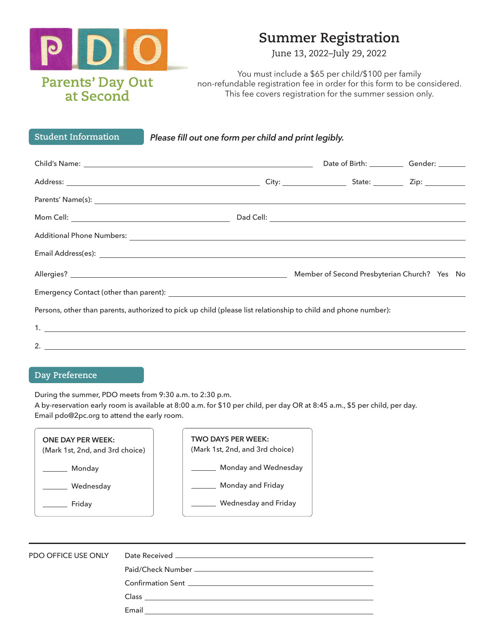

### **Summer Registration**

June 13, 2022–July 29, 2022

You must include a \$65 per child/\$100 per family non-refundable registration fee in order for this form to be considered. This fee covers registration for the summer session only.

**Student Information**

*Please fill out one form per child and print legibly.*

| <b>The door the back one form per crime and principally.</b>                                                                                                                                                                   |                                  |
|--------------------------------------------------------------------------------------------------------------------------------------------------------------------------------------------------------------------------------|----------------------------------|
|                                                                                                                                                                                                                                | Date of Birth: Gender: _________ |
|                                                                                                                                                                                                                                |                                  |
|                                                                                                                                                                                                                                |                                  |
|                                                                                                                                                                                                                                |                                  |
|                                                                                                                                                                                                                                |                                  |
| Email Address(es): Note and the set of the set of the set of the set of the set of the set of the set of the set of the set of the set of the set of the set of the set of the set of the set of the set of the set of the set |                                  |
|                                                                                                                                                                                                                                |                                  |
|                                                                                                                                                                                                                                |                                  |
| Persons, other than parents, authorized to pick up child (please list relationship to child and phone number):                                                                                                                 |                                  |
|                                                                                                                                                                                                                                |                                  |
|                                                                                                                                                                                                                                |                                  |

#### **Day Preference**

2.

During the summer, PDO meets from 9:30 a.m. to 2:30 p.m.

A by-reservation early room is available at 8:00 a.m. for \$10 per child, per day OR at 8:45 a.m., \$5 per child, per day. Email pdo@2pc.org to attend the early room.

| <b>TWO DAYS PER WEEK:</b><br>(Mark 1st, 2nd, and 3rd choice) |
|--------------------------------------------------------------|
| Monday and Wednesday                                         |
| Monday and Friday                                            |
| Wednesday and Friday                                         |
|                                                              |

| PDO OFFICE USE ONLY |                                                                                                                                |
|---------------------|--------------------------------------------------------------------------------------------------------------------------------|
|                     |                                                                                                                                |
|                     |                                                                                                                                |
|                     | Class<br><u> 1989 - Johann Harry Harry Harry Harry Harry Harry Harry Harry Harry Harry Harry Harry Harry Harry Harry Harry</u> |
|                     | Email                                                                                                                          |